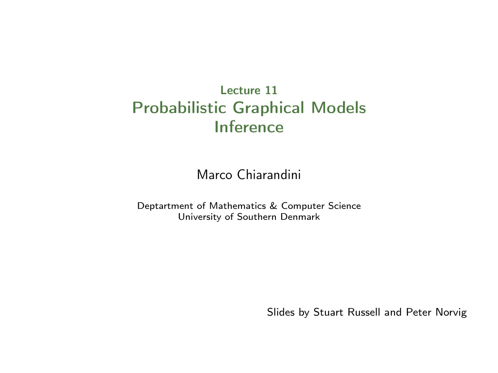#### Lecture 11 Probabilistic Graphical Models Inference

Marco Chiarandini

Deptartment of Mathematics & Computer Science University of Southern Denmark

Slides by Stuart Russell and Peter Norvig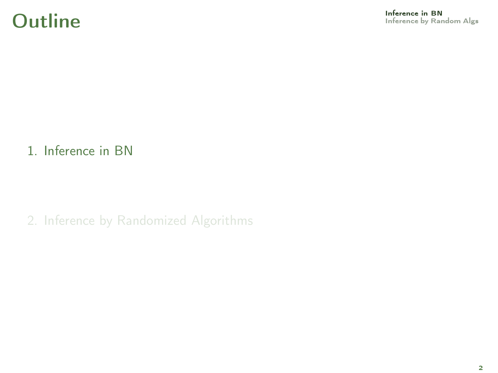#### 1. [Inference in BN](#page-1-0)

<span id="page-1-0"></span>2. [Inference by Randomized Algorithms](#page-7-0)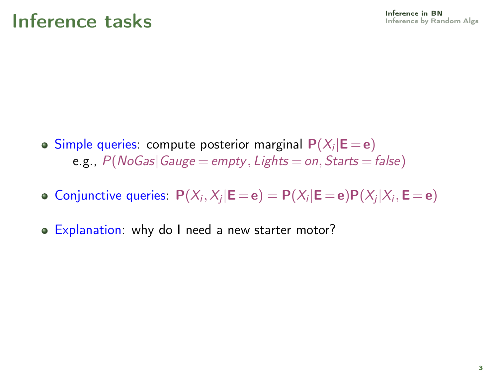- Simple queries: compute posterior marginal  $\mathsf{P}(X_i | \mathsf{E}\!=\!\mathsf{e})$ e.g.,  $P(NoGas|Gauge = empty, Lights = on, Sants = false)$
- Conjunctive queries:  $P(X_i, X_j | \mathsf{E} = \mathsf{e}) = P(X_i | \mathsf{E} = \mathsf{e}) P(X_j | X_i, \mathsf{E} = \mathsf{e})$
- Explanation: why do I need a new starter motor?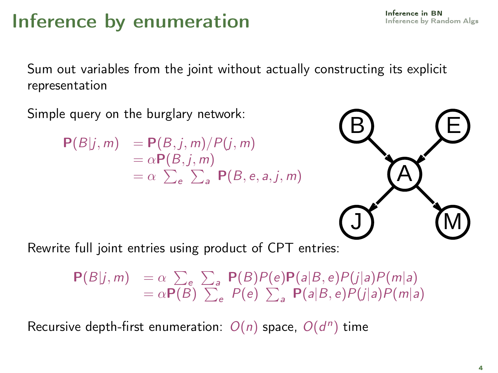#### Inference by enumeration

Sum out variables from the joint without actually constructing its explicit representation

Simple query on the burglary network:

$$
P(B|j,m) = P(B,j,m)/P(j,m)
$$
  
=  $\alpha P(B,j,m)$   
=  $\alpha \sum_{e} \sum_{a} P(B,e,a,j,m)$ 



Rewrite full joint entries using product of CPT entries:

$$
\begin{array}{lll} \mathbf{P}(B|j,m) & = \alpha \sum_{e} \sum_{a} \mathbf{P}(B)P(e)\mathbf{P}(a|B,e)P(j|a)P(m|a) \\ & = \alpha \mathbf{P}(B) \sum_{e} P(e) \sum_{a} \mathbf{P}(a|B,e)P(j|a)P(m|a) \end{array}
$$

Recursive depth-first enumeration:  $O(n)$  space,  $O(d^n)$  time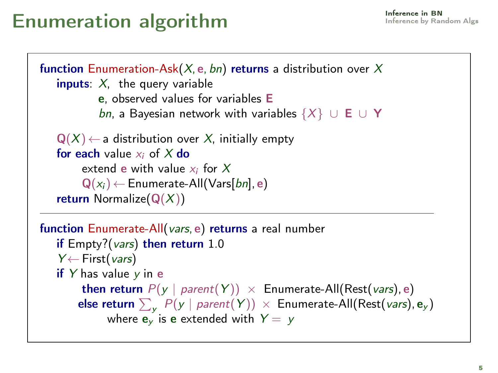## Enumeration algorithm **[Inference in BN](#page-1-0)**

```
function Enumeration-Ask(X, e, bn) returns a distribution over X
   inputs: X, the query variable
           e, observed values for variables E
           bn, a Bayesian network with variables \{X\} ∪ E ∪ Y
   Q(X) \leftarrow a distribution over X, initially empty
   for each value x_i of X do
        extend e with value x_i for XQ(x_i) \leftarrow Enumerate-All(Vars[bn], e)
   return Normalize(Q(X))function Enumerate-All(vars, e) returns a real number
```

```
if Empty?(vars) then return 1.0
Y \leftarrow First(vars)
if Y has value y in e
      then return P(y \mid parent(Y)) \times Enumerate-All(Rest(vars), e)
      else return \sum_{\mathbf{y}}\ {P}(\mathbf{y}\mid parent(\mathbf{Y}))\ \times Enumerate-All(Rest(vars), \mathbf{e}_{\mathbf{y}})where \mathbf{e}_v is e extended with Y = y
```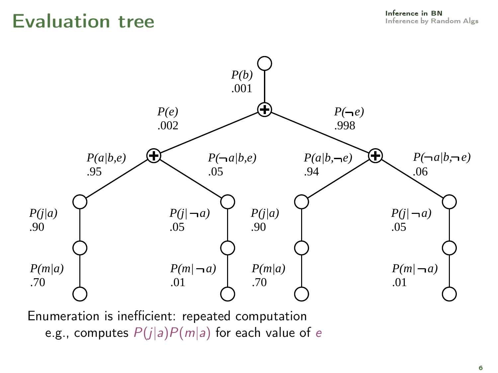### $Eval$ uation tree  $Eval$



Enumeration is inefficient: repeated computation e.g., computes  $P(j|a)P(m|a)$  for each value of e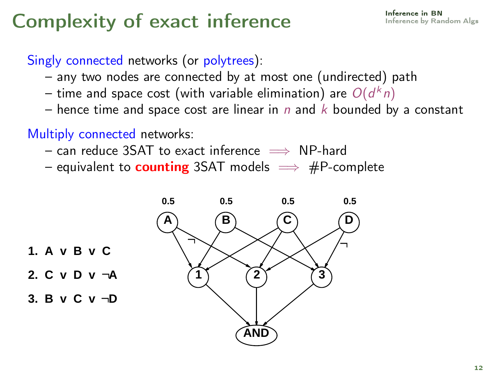# Complexity of exact inference Inference In BN [Inference in BN](#page-1-0)

#### Singly connected networks (or polytrees):

- any two nodes are connected by at most one (undirected) path
- time and space cost (with variable elimination) are  $\mathit{O}(d^kn)$
- hence time and space cost are linear in n and  $k$  bounded by a constant

Multiply connected networks:

- $-$  can reduce 3SAT to exact inference  $\implies$  NP-hard
- equivalent to **counting** 3SAT models  $\implies$  #P-complete



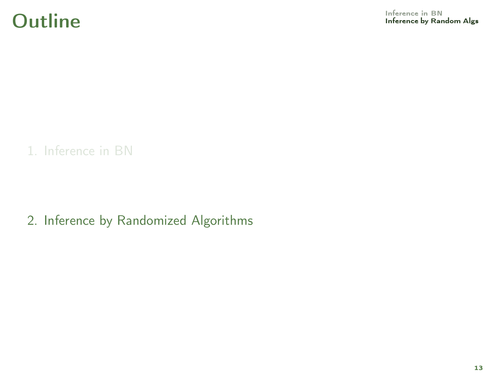1. [Inference in BN](#page-1-0)

<span id="page-7-0"></span>2. [Inference by Randomized Algorithms](#page-7-0)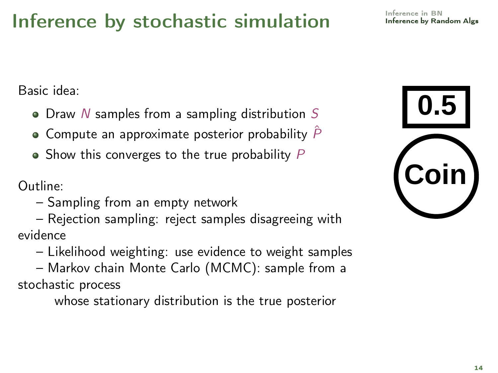## Inference by stochastic simulation

Basic idea:

- $\bullet$  Draw N samples from a sampling distribution S
- $\bullet$  Compute an approximate posterior probability  $\hat{P}$
- $\bullet$  Show this converges to the true probability  $P$

Outline:

– Sampling from an empty network

– Rejection sampling: reject samples disagreeing with evidence

- Likelihood weighting: use evidence to weight samples
- Markov chain Monte Carlo (MCMC): sample from a stochastic process

whose stationary distribution is the true posterior

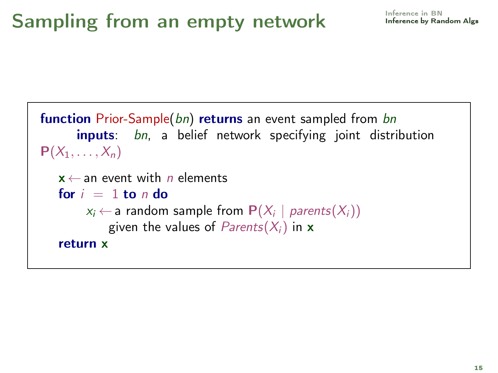```
function Prior-Sample(bn) returns an event sampled from bn
       inputs: bn, a belief network specifying joint distribution
P(X_1, \ldots, X_n)x \leftarrow an event with n elements
   for i = 1 to n do
         x_i \leftarrow a random sample from \mathbf{P}(X_i \mid \mathit{parents}(X_i))given the values of Parents(X_i) in x
   return x
```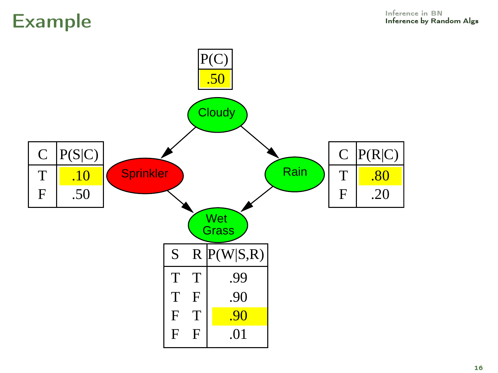### [Inference in BN](#page-1-0) Example [Inference by Random Alg](#page-7-0)s

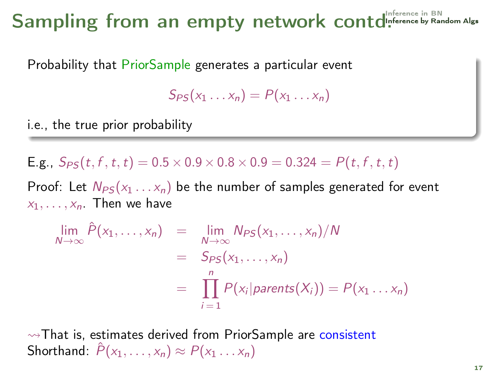# Sampling from an empty network contd<sup>[Inference in BN](#page-1-0)</sup>

Probability that PriorSample generates a particular event

 $S_{PS}(x_1 \ldots x_n) = P(x_1 \ldots x_n)$ 

i.e., the true prior probability

**E.g.,**  $S_{PS}(t, f, t, t) = 0.5 \times 0.9 \times 0.8 \times 0.9 = 0.324 = P(t, f, t, t)$ 

Proof: Let  $N_{PS}(x_1 \ldots x_n)$  be the number of samples generated for event  $x_1, \ldots, x_n$ . Then we have

$$
\lim_{N \to \infty} \hat{P}(x_1, \dots, x_n) = \lim_{N \to \infty} N_{PS}(x_1, \dots, x_n) / N
$$
  
=  $S_{PS}(x_1, \dots, x_n)$   
=  $\prod_{i=1}^n P(x_i | parents(X_i)) = P(x_1 \dots x_n)$ 

 $\rightsquigarrow$ That is, estimates derived from PriorSample are consistent Shorthand:  $\tilde{P}(x_1, \ldots, x_n) \approx P(x_1 \ldots x_n)$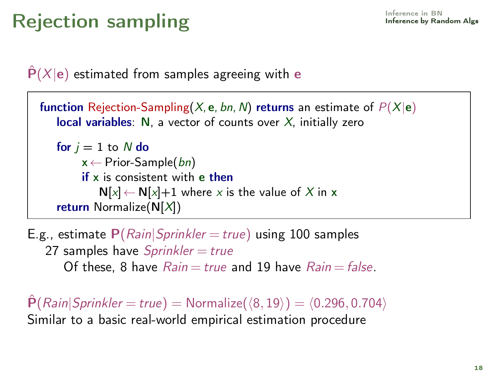# Rejection sampling and the state of the state of  $\mathbb{R}^{\text{Inference in BM}}$

 $\hat{P}(X|\mathbf{e})$  estimated from samples agreeing with e

```
function Rejection-Sampling(X, e, bn, N) returns an estimate of P(X|e)local variables: N, a vector of counts over X, initially zero
   for j = 1 to N do
        x \leftarrow Prior-Sample(bn)
        if x is consistent with e then
           N[x] \leftarrow N[x] + 1 where x is the value of X in x
   return Normalize(N[X])
```
E.g., estimate  $P(Rain|Sprinkler = true)$  using 100 samples 27 samples have  $Sprinkler = true$ Of these, 8 have  $Rain = true$  and 19 have  $Rain = false$ .

 $\hat{\mathsf{P}}(\text{Rain}|\text{Sprinkler} = \text{true}) = \text{Normalize}(\langle 8, 19 \rangle) = \langle 0.296, 0.704 \rangle$ Similar to a basic real-world empirical estimation procedure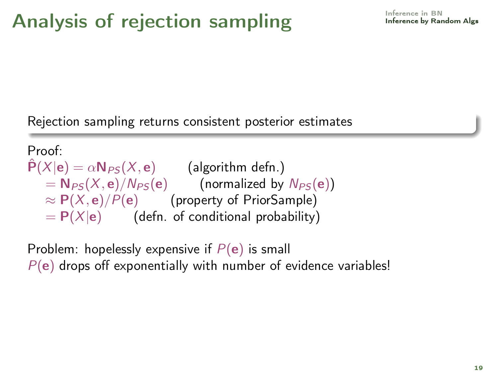Rejection sampling returns consistent posterior estimates

Proof:  $\hat{P}(X|e) = \alpha N_{PS}(X, e)$  (algorithm defn.)  $= N_{PS}(X, e)/N_{PS}(e)$  (normalized by  $N_{PS}(e)$ )  $\approx P(X, e)/P(e)$  (property of PriorSample)  $= P(X|e)$  (defn. of conditional probability)

Problem: hopelessly expensive if  $P(e)$  is small  $P(e)$  drops off exponentially with number of evidence variables!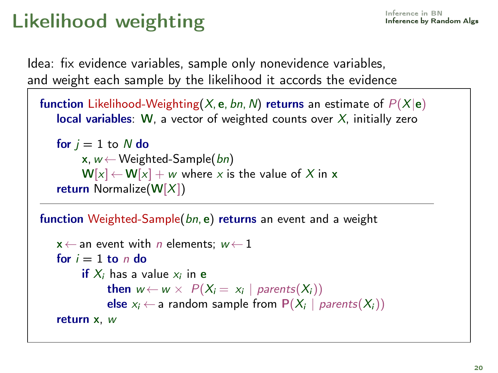# Likelihood weighting and the state of the state of  $\mathbb{R}^{\text{Inference in BM}}$

Idea: fix evidence variables, sample only nonevidence variables, and weight each sample by the likelihood it accords the evidence

```
function Likelihood-Weighting(X, e, bn, N) returns an estimate of P(X|e)local variables: W, a vector of weighted counts over X, initially zero
```

```
for j = 1 to N do
     x, w \leftarrow Weighted-Sample(bn)
     W[x] \leftarrow W[x] + w where x is the value of X in x
return Normalize(W[X])
```
function Weighted-Sample(bn, e) returns an event and a weight

```
x \leftarrow an event with n elements; w \leftarrow 1for i = 1 to n do
     if X_i has a value x_i in e
           then w \leftarrow w \times P(X_i = x_i | parents(X_i))else x_i ← a random sample from P(X_i | parents(X_i))
return x, w
```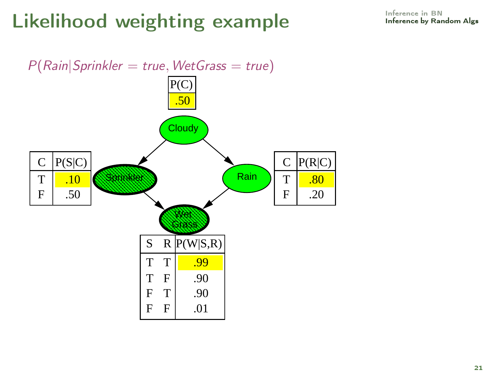# Likelihood weighting example [Inference in BN](#page-1-0) Inference in BN

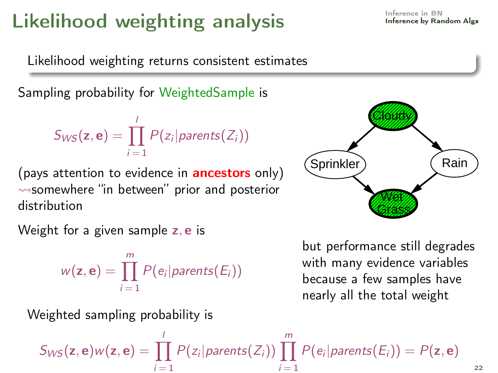# Likelihood weighting analysis **[Inference in BN](#page-1-0)** Inference in BN

Likelihood weighting returns consistent estimates

Sampling probability for WeightedSample is

$$
S_{WS}(\mathbf{z},\mathbf{e})=\prod_{i=1}^l P(z_i|parents(Z_i))
$$

(pays attention to evidence in **ancestors** only)  $\rightsquigarrow$ somewhere "in between" prior and posterior distribution

Weight for a given sample z, e is

Weighted sampling probability is

$$
w(\mathsf{z},\mathsf{e})=\prod_{i=1}^m P(e_i|parents(E_i))
$$

but performance still degrades with many evidence variables because a few samples have nearly all the total weight

 $S_{WS}(\mathsf{z},\mathsf{e})$ w $(\mathsf{z},\mathsf{e}) = \prod' P(z_i | parents(Z_i)) \prod'' P(e_i | parents(E_i)) = P(\mathsf{z},\mathsf{e})$ l  $i = 1$  $i = 1$ 



$$
\mathcal{L}(\mathcal{L}) = \mathcal{L}(\mathcal{L})
$$

22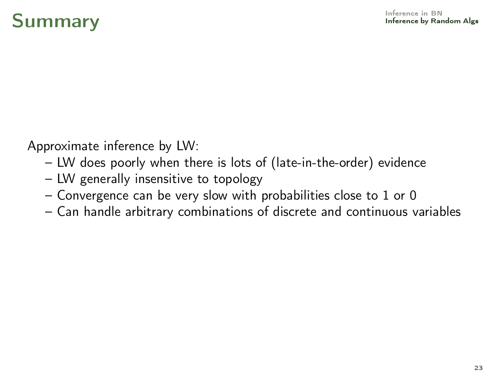# $\mathsf{Summary}$  and  $\mathsf{Max}(S$

Approximate inference by LW:

- LW does poorly when there is lots of (late-in-the-order) evidence
- LW generally insensitive to topology
- Convergence can be very slow with probabilities close to 1 or 0
- Can handle arbitrary combinations of discrete and continuous variables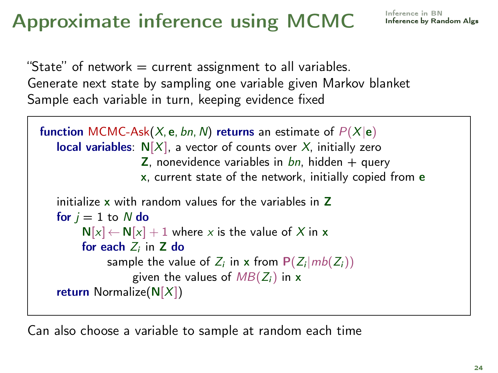# Approximate inference using MCMC [Inference in BN](#page-1-0)

```
"State" of network = current assignment to all variables.
Generate next state by sampling one variable given Markov blanket
Sample each variable in turn, keeping evidence fixed
```

```
function MCMC-Ask(X, e, bn, N) returns an estimate of P(X|e)local variables: N[X], a vector of counts over X, initially zero
                   Z, nonevidence variables in bn, hidden + query
                   x, current state of the network, initially copied from e
   initialize x with random values for the variables in Z
   for j = 1 to N do
        N[x] \leftarrow N[x] + 1 where x is the value of X in x
        for each Z_i in Z do
            sample the value of Z_i in x from P(Z_i|mb(Z_i))given the values of MB(Z_i) in x
   return Normalize(N[X])
```
Can also choose a variable to sample at random each time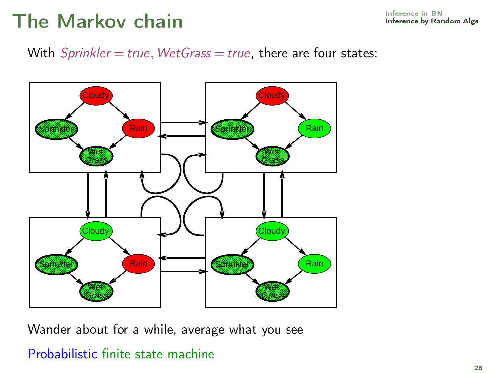## The Markov chain **[Inference in BN](#page-1-0)** Inference in BN

With  $Sprinkler = true$ , WetGrass = true, there are four states:



Wander about for a while, average what you see

#### Probabilistic finite state machine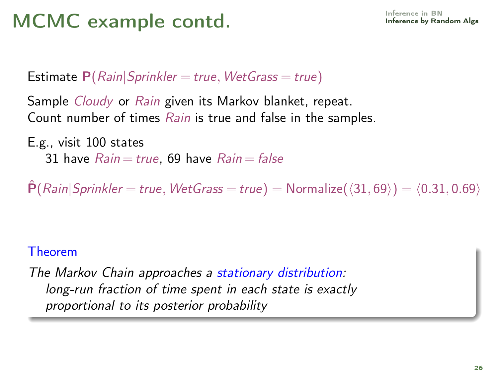# MCMC example contd. **[Inference in BN](#page-1-0)** Inference in BN

**Estimate P**( $Rain|Spring$  = true,  $WetGrass = true$ )

Sample *Cloudy* or Rain given its Markov blanket, repeat. Count number of times Rain is true and false in the samples.

E.g., visit 100 states 31 have  $Rain = true$ , 69 have  $Rain = false$ 

 $\dot{P}(Rain|Sprinkler = true, WetGrass = true) = Normalize(\langle 31, 69 \rangle) = \langle 0.31, 0.69 \rangle$ 

#### Theorem

The Markov Chain approaches a stationary distribution: long-run fraction of time spent in each state is exactly proportional to its posterior probability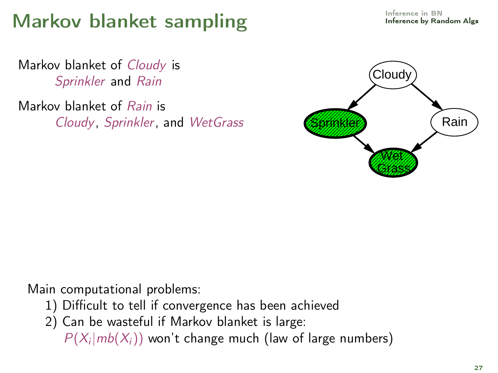# Markov blanket sampling and the state of the standom Algs

Markov blanket of Cloudy is Sprinkler and Rain

Markov blanket of Rain is Cloudy, Sprinkler, and WetGrass



Main computational problems:

- 1) Difficult to tell if convergence has been achieved
- 2) Can be wasteful if Markov blanket is large:

 $P(X_i | mb(X_i))$  won't change much (law of large numbers)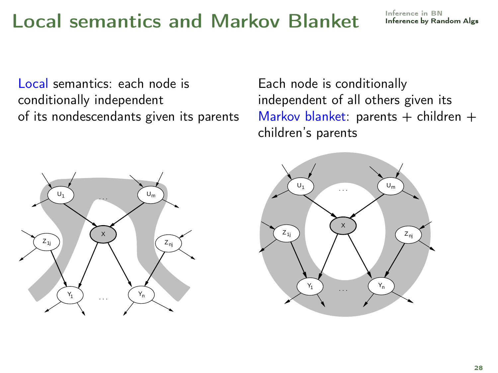## Local semantics and Markov Blanket [Inference in BN](#page-1-0)

Local semantics: each node is conditionally independent of its nondescendants given its parents Each node is conditionally independent of all others given its Markov blanket: parents  $+$  children  $+$ children's parents



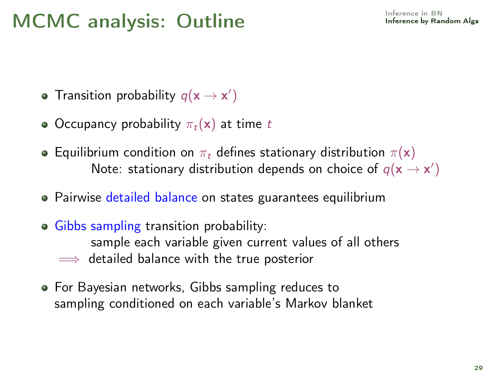### MCMC analysis: Outline **[Inference in BN](#page-1-0)** Inference in BN

- Transition probability  $q(\mathbf{x} \rightarrow \mathbf{x}')$
- Occupancy probability  $\pi_t(\mathbf{x})$  at time t
- **•** Equilibrium condition on  $\pi_t$  defines stationary distribution  $\pi(\mathbf{x})$ Note: stationary distribution depends on choice of  $q(\mathbf{x} \rightarrow \mathbf{x}')$
- Pairwise detailed balance on states guarantees equilibrium
- **Gibbs sampling transition probability:** sample each variable given current values of all others  $\implies$  detailed balance with the true posterior
- For Bayesian networks, Gibbs sampling reduces to sampling conditioned on each variable's Markov blanket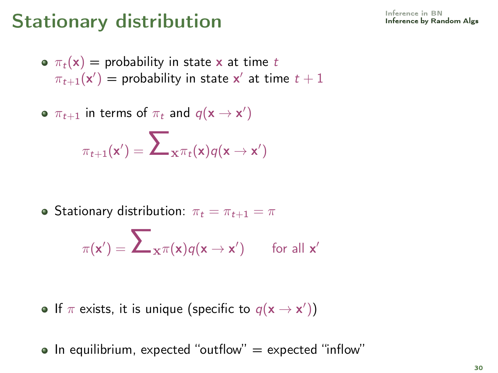# Stationary distribution **[Inference in BN](#page-1-0)** Inference in BN

- $\sigma \pi_t(\mathbf{x}) =$  probability in state x at time t  $\pi_{t+1}(\mathsf{x}') =$  probability in state  $\mathsf{x}'$  at time  $t+1$
- $\pi_{t+1}$  in terms of  $\pi_t$  and  $q(\mathsf{x} \rightarrow \mathsf{x}')$

$$
\pi_{t+1}(\mathbf{x}') = \sum\nolimits_{\mathbf{x}^{\mathcal{\pi}}t} (\mathbf{x}) q(\mathbf{x} \to \mathbf{x}')
$$

• Stationary distribution:  $\pi_t = \pi_{t+1} = \pi$ 

$$
\pi(\mathbf{x}') = \sum\nolimits_{\mathbf{x}^{\mathcal{\pi}}}(\mathbf{x}) q(\mathbf{x} \rightarrow \mathbf{x}') \qquad \text{for all } \mathbf{x}'
$$

- If  $\pi$  exists, it is unique (specific to  $q(\mathbf{x} \rightarrow \mathbf{x}'))$
- $\bullet$  In equilibrium, expected "outflow" = expected "inflow"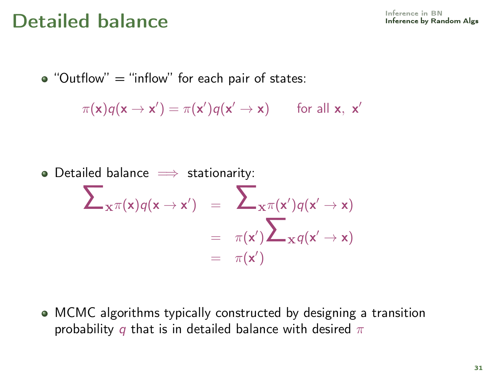## $\mathbf{Det}$ ailed balance  $\mathbf{D}\mathbf{et}$

 $\bullet$  "Outflow" = "inflow" for each pair of states:

$$
\pi(\mathbf{x})q(\mathbf{x} \to \mathbf{x}') = \pi(\mathbf{x}')q(\mathbf{x}' \to \mathbf{x}) \quad \text{for all } \mathbf{x}, \mathbf{x}'
$$

• Detailed balance 
$$
\implies
$$
 stationarity:  
\n
$$
\sum_{x} \pi(x)q(x \to x') = \sum_{x} \pi(x')q(x' \to x)
$$
\n
$$
= \pi(x') \sum_{x} q(x' \to x)
$$
\n
$$
= \pi(x')
$$

MCMC algorithms typically constructed by designing a transition probability q that is in detailed balance with desired  $\pi$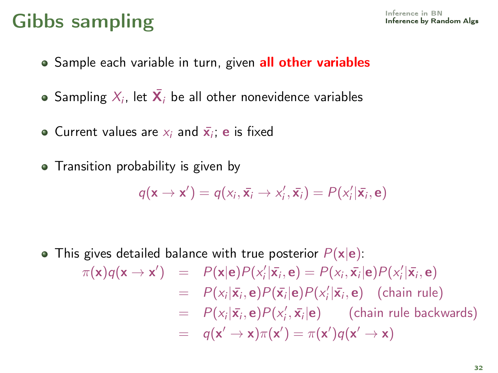# Gibbs sampling and the sampling of the state of  $\mathsf{Gibbs}$  and  $\mathsf{Gibbs}$

- Sample each variable in turn, given all other variables
- Sampling  $\mathcal{X}_i$ , let  $\bar{\mathbf{X}}_i$  be all other nonevidence variables
- Current values are  $x_i$  and  $\bar{\mathbf{x}}_i$ ; e is fixed
- Transition probability is given by

$$
q(\mathbf{x} \rightarrow \mathbf{x}') = q(x_i, \bar{\mathbf{x}}_i \rightarrow x'_i, \bar{\mathbf{x}}_i) = P(x'_i | \bar{\mathbf{x}}_i, \mathbf{e})
$$

• This gives detailed balance with true posterior  $P(x|e)$ :  $\pi(\mathbf{x})q(\mathbf{x} \to \mathbf{x}') = P(\mathbf{x}|\mathbf{e})P(x_i'|\bar{\mathbf{x}}_i, \mathbf{e}) = P(x_i, \bar{\mathbf{x}}_i|\mathbf{e})P(x_i'|\bar{\mathbf{x}}_i, \mathbf{e})$ =  $P(x_i|\bar{x}_i, \mathbf{e})P(\bar{x}_i|\mathbf{e})P(x_i'|\bar{x}_i, \mathbf{e})$  (chain rule)  $= P(x_i | \bar{x_i}, e) P(x'_i, \bar{x_i} | e)$  (chain rule backwards)  $= q(\mathsf{x}' \to \mathsf{x})\pi(\mathsf{x}') = \pi(\mathsf{x}')q(\mathsf{x}' \to \mathsf{x})$